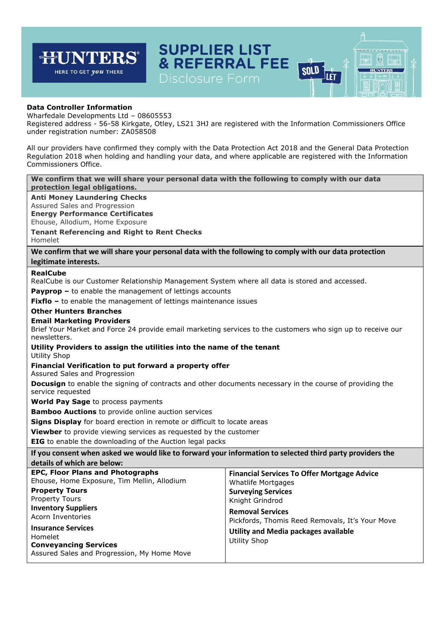## **SUPPLIER LIST JNTERS & REFERRAL FEE SOLD HUNTERS** HERE TO GET *you* THERE llet

闶

## **Data Controller Information**

न्म

Wharfedale Developments Ltd – 08605553

Registered address - 56-58 Kirkgate, Otley, LS21 3HJ are registered with the Information Commissioners Office under registration number: ZA058508

All our providers have confirmed they comply with the Data Protection Act 2018 and the General Data Protection Regulation 2018 when holding and handling your data, and where applicable are registered with the Information Commissioners Office.

**We confirm that we will share your personal data with the following to comply with our data protection legal obligations.**

**Anti Money Laundering Checks**

Assured Sales and Progression

**Energy Performance Certificates**

Ehouse, Allodium, Home Exposure

**Tenant Referencing and Right to Rent Checks**

Homelet

**We confirm that we will share your personal data with the following to comply with our data protection legitimate interests.**

## **RealCube**

RealCube is our Customer Relationship Management System where all data is stored and accessed.

**Payprop –** to enable the management of lettings accounts

**Fixflo** – to enable the management of lettings maintenance issues

#### **Other Hunters Branches**

### **Email Marketing Providers**

Brief Your Market and Force 24 provide email marketing services to the customers who sign up to receive our newsletters.

# **Utility Providers to assign the utilities into the name of the tenant**

Utility Shop

### **Financial Verification to put forward a property offer**

Assured Sales and Progression

**Docusign** to enable the signing of contracts and other documents necessary in the course of providing the service requested

**World Pay Sage** to process payments

**Bamboo Auctions** to provide online auction services

**Signs Display** for board erection in remote or difficult to locate areas

**Viewber** to provide viewing services as requested by the customer

**EIG** to enable the downloading of the Auction legal packs

**If you consent when asked we would like to forward your information to selected third party providers the details of which are below: EPC, Floor Plans and Photographs** Ehouse, Home Exposure, Tim Mellin, Allodium **Financial Services To Offer Mortgage Advice** Whatlife Mortgages

> **Surveying Services** Knight Grindrod **Removal Services**

**Property Tours** Property Tours **Inventory Suppliers**  Acorn Inventories

**Insurance Services** Homelet **Conveyancing Services** Assured Sales and Progression, My Home Move Pickfords, Thomis Reed Removals, It's Your Move **Utility and Media packages available**  Utility Shop